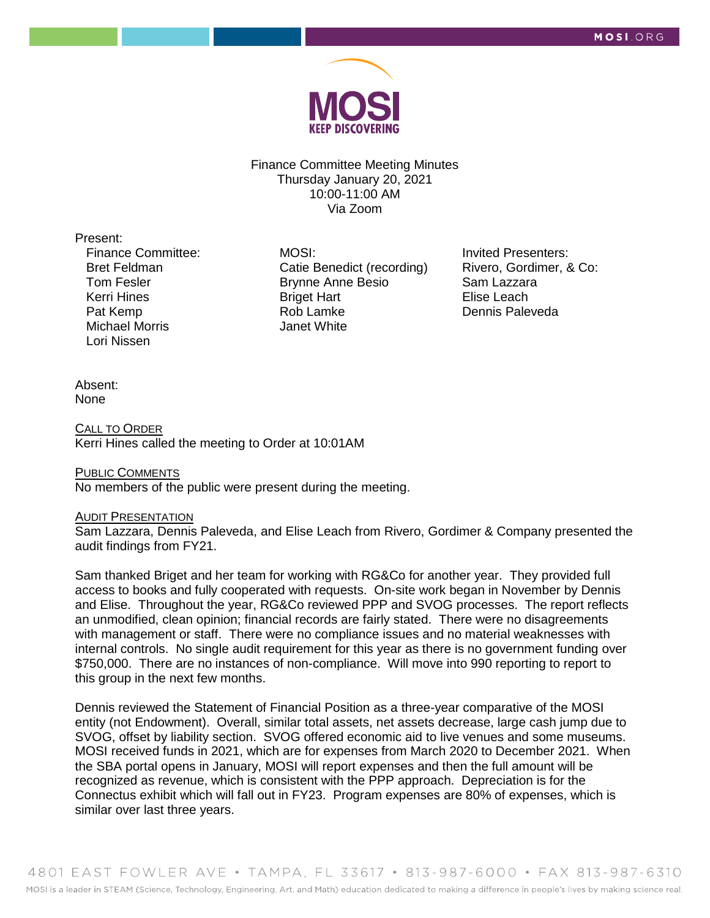

Finance Committee Meeting Minutes Thursday January 20, 2021 10:00-11:00 AM Via Zoom

Present:

Finance Committee: Bret Feldman Tom Fesler Kerri Hines Pat Kemp Michael Morris Lori Nissen

MOSI: Catie Benedict (recording) Brynne Anne Besio Briget Hart Rob Lamke Janet White

Invited Presenters: Rivero, Gordimer, & Co: Sam Lazzara Elise Leach Dennis Paleveda

Absent: None

CALL TO ORDER Kerri Hines called the meeting to Order at 10:01AM

PUBLIC COMMENTS No members of the public were present during the meeting.

#### AUDIT PRESENTATION

Sam Lazzara, Dennis Paleveda, and Elise Leach from Rivero, Gordimer & Company presented the audit findings from FY21.

Sam thanked Briget and her team for working with RG&Co for another year. They provided full access to books and fully cooperated with requests. On-site work began in November by Dennis and Elise. Throughout the year, RG&Co reviewed PPP and SVOG processes. The report reflects an unmodified, clean opinion; financial records are fairly stated. There were no disagreements with management or staff. There were no compliance issues and no material weaknesses with internal controls. No single audit requirement for this year as there is no government funding over \$750,000. There are no instances of non-compliance. Will move into 990 reporting to report to this group in the next few months.

Dennis reviewed the Statement of Financial Position as a three-year comparative of the MOSI entity (not Endowment). Overall, similar total assets, net assets decrease, large cash jump due to SVOG, offset by liability section. SVOG offered economic aid to live venues and some museums. MOSI received funds in 2021, which are for expenses from March 2020 to December 2021. When the SBA portal opens in January, MOSI will report expenses and then the full amount will be recognized as revenue, which is consistent with the PPP approach. Depreciation is for the Connectus exhibit which will fall out in FY23. Program expenses are 80% of expenses, which is similar over last three years.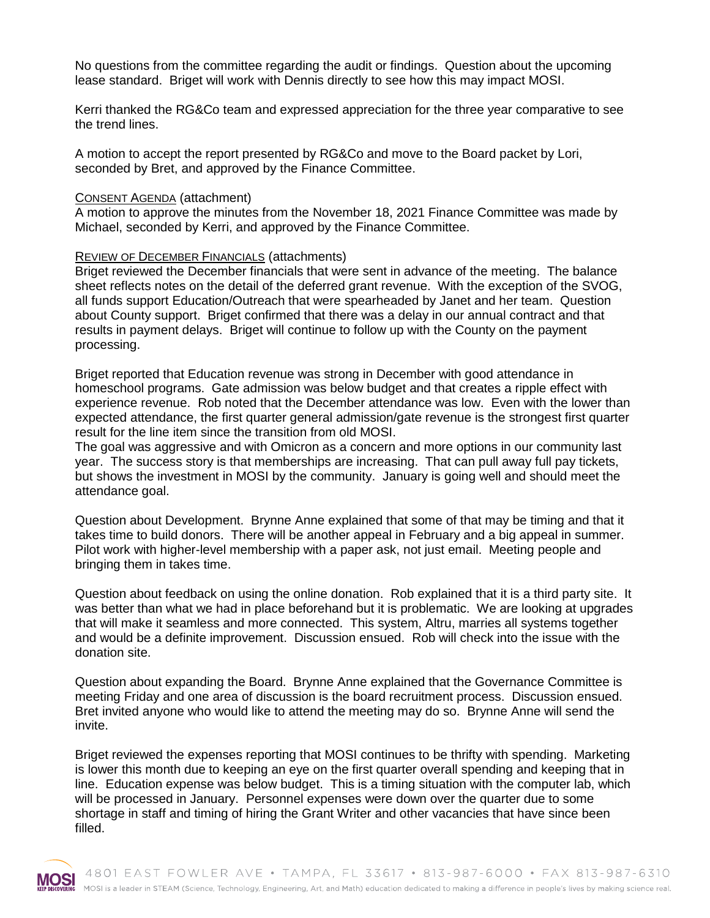No questions from the committee regarding the audit or findings. Question about the upcoming lease standard. Briget will work with Dennis directly to see how this may impact MOSI.

Kerri thanked the RG&Co team and expressed appreciation for the three year comparative to see the trend lines.

A motion to accept the report presented by RG&Co and move to the Board packet by Lori, seconded by Bret, and approved by the Finance Committee.

### CONSENT AGENDA (attachment)

A motion to approve the minutes from the November 18, 2021 Finance Committee was made by Michael, seconded by Kerri, and approved by the Finance Committee.

## REVIEW OF DECEMBER FINANCIALS (attachments)

Briget reviewed the December financials that were sent in advance of the meeting. The balance sheet reflects notes on the detail of the deferred grant revenue. With the exception of the SVOG, all funds support Education/Outreach that were spearheaded by Janet and her team. Question about County support. Briget confirmed that there was a delay in our annual contract and that results in payment delays. Briget will continue to follow up with the County on the payment processing.

Briget reported that Education revenue was strong in December with good attendance in homeschool programs. Gate admission was below budget and that creates a ripple effect with experience revenue. Rob noted that the December attendance was low. Even with the lower than expected attendance, the first quarter general admission/gate revenue is the strongest first quarter result for the line item since the transition from old MOSI.

The goal was aggressive and with Omicron as a concern and more options in our community last year. The success story is that memberships are increasing. That can pull away full pay tickets, but shows the investment in MOSI by the community. January is going well and should meet the attendance goal.

Question about Development. Brynne Anne explained that some of that may be timing and that it takes time to build donors. There will be another appeal in February and a big appeal in summer. Pilot work with higher-level membership with a paper ask, not just email. Meeting people and bringing them in takes time.

Question about feedback on using the online donation. Rob explained that it is a third party site. It was better than what we had in place beforehand but it is problematic. We are looking at upgrades that will make it seamless and more connected. This system, Altru, marries all systems together and would be a definite improvement. Discussion ensued. Rob will check into the issue with the donation site.

Question about expanding the Board. Brynne Anne explained that the Governance Committee is meeting Friday and one area of discussion is the board recruitment process. Discussion ensued. Bret invited anyone who would like to attend the meeting may do so. Brynne Anne will send the invite.

Briget reviewed the expenses reporting that MOSI continues to be thrifty with spending. Marketing is lower this month due to keeping an eye on the first quarter overall spending and keeping that in line. Education expense was below budget. This is a timing situation with the computer lab, which will be processed in January. Personnel expenses were down over the quarter due to some shortage in staff and timing of hiring the Grant Writer and other vacancies that have since been filled.